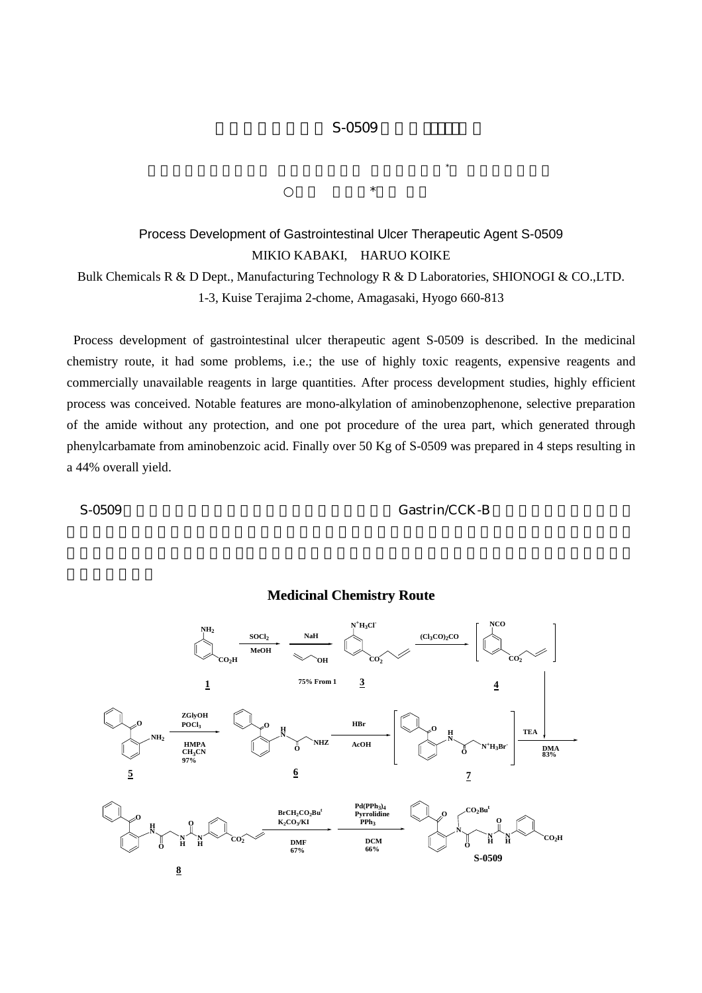## $S-0509$

 $\mathbb{R}$  $\star$ 

## Process Development of Gastrointestinal Ulcer Therapeutic Agent S-0509 MIKIO KABAKI, HARUO KOIKE Bulk Chemicals R & D Dept., Manufacturing Technology R & D Laboratories, SHIONOGI & CO.,LTD.

1-3, Kuise Terajima 2-chome, Amagasaki, Hyogo 660-813

 Process development of gastrointestinal ulcer therapeutic agent S-0509 is described. In the medicinal chemistry route, it had some problems, i.e.; the use of highly toxic reagents, expensive reagents and commercially unavailable reagents in large quantities. After process development studies, highly efficient process was conceived. Notable features are mono-alkylation of aminobenzophenone, selective preparation of the amide without any protection, and one pot procedure of the urea part, which generated through phenylcarbamate from aminobenzoic acid. Finally over 50 Kg of S-0509 was prepared in 4 steps resulting in a 44% overall yield.

S-0509 Gastrin/CCK-B



## **Medicinal Chemistry Route**